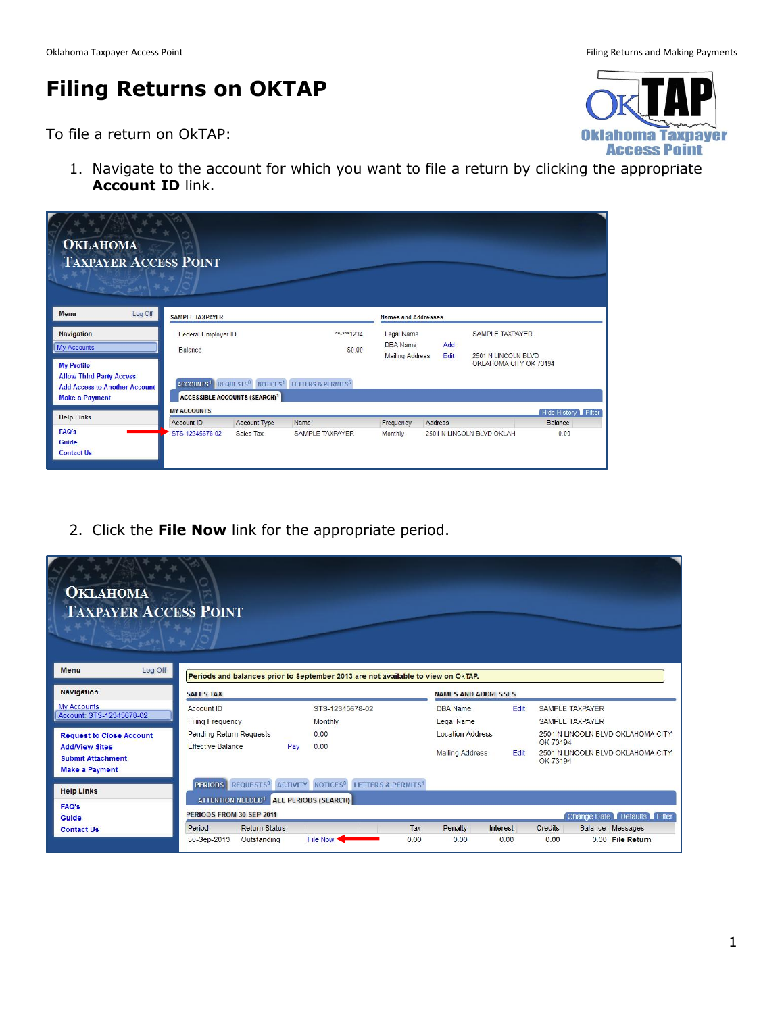## **Filing Returns on OKTAP**

To file a return on OkTAP:

1. Navigate to the account for which you want to file a return by clicking the appropriate **Account ID** link.

| <b>OKLAHOMA</b><br><b>TAXPAYER ACCESS POINT</b>                                                  |                                |                                                 |                                                                                                 |                                                  |             |                                                                         |                        |
|--------------------------------------------------------------------------------------------------|--------------------------------|-------------------------------------------------|-------------------------------------------------------------------------------------------------|--------------------------------------------------|-------------|-------------------------------------------------------------------------|------------------------|
| Log Off<br>Menu                                                                                  | <b>SAMPLE TAXPAYER</b>         |                                                 |                                                                                                 | <b>Names and Addresses</b>                       |             |                                                                         |                        |
| <b>Navigation</b><br><b>My Accounts</b><br><b>My Profile</b>                                     | Federal Employer ID<br>Balance |                                                 | ** <sub>****</sub> 1234<br>\$0.00                                                               | Legal Name<br>DBA Name<br><b>Mailing Address</b> | Add<br>Edit | <b>SAMPLE TAXPAYER</b><br>2501 N LINCOLN BLVD<br>OKLAHOMA CITY OK 73194 |                        |
| <b>Allow Third Party Access</b><br><b>Add Access to Another Account</b><br><b>Make a Payment</b> |                                | <b>ACCESSIBLE ACCOUNTS (SEARCH)<sup>1</sup></b> | ACCOUNTS <sup>1</sup> REQUESTS <sup>0</sup> NOTICES <sup>1</sup> LETTERS & PERMITS <sup>5</sup> |                                                  |             |                                                                         |                        |
| <b>Help Links</b>                                                                                | <b>MY ACCOUNTS</b>             |                                                 |                                                                                                 |                                                  |             |                                                                         | Hide History Filter    |
| <b>FAQ's</b><br>Guide<br><b>Contact Us</b>                                                       | Account ID<br>STS-12345678-02  | <b>Account Type</b><br>Sales Tax                | Name<br>SAMPLE TAXPAYER                                                                         | Frequency<br>Monthly                             | Address     | 2501 N LINCOLN BLVD OKLAH                                               | <b>Balance</b><br>0.00 |

2. Click the **File Now** link for the appropriate period.

| <b>OKLAHOMA</b><br><b>TAXPAYER ACCESS POINT</b>          |                                                                                                                   |                                                                                  |                                                   |                 |                |                                                  |                                                                        |
|----------------------------------------------------------|-------------------------------------------------------------------------------------------------------------------|----------------------------------------------------------------------------------|---------------------------------------------------|-----------------|----------------|--------------------------------------------------|------------------------------------------------------------------------|
| Log Off<br><b>Menu</b>                                   |                                                                                                                   | Periods and balances prior to September 2013 are not available to view on OkTAP. |                                                   |                 |                |                                                  |                                                                        |
| <b>Navigation</b>                                        | <b>SALES TAX</b>                                                                                                  |                                                                                  | <b>NAMES AND ADDRESSES</b>                        |                 |                |                                                  |                                                                        |
| <b>My Accounts</b><br>Account: STS-12345678-02           | Account ID<br>Filing Frequency                                                                                    | STS-12345678-02<br>Monthly                                                       | <b>DBA</b> Name<br>Legal Name                     | Edit            |                | <b>SAMPLE TAXPAYER</b><br><b>SAMPLE TAXPAYER</b> |                                                                        |
| <b>Request to Close Account</b><br><b>Add/View Sites</b> | Pending Return Requests<br><b>Effective Balance</b><br>Pay                                                        | 0.00<br>0.00                                                                     | <b>Location Address</b><br><b>Mailing Address</b> | Edit            | OK 73194       |                                                  | 2501 N LINCOLN BLVD OKLAHOMA CITY<br>2501 N LINCOLN BLVD OKLAHOMA CITY |
| <b>Submit Attachment</b><br><b>Make a Payment</b>        |                                                                                                                   |                                                                                  |                                                   |                 | OK 73194       |                                                  |                                                                        |
| <b>Help Links</b>                                        | PERIODS REQUESTS <sup>0</sup> ACTIVITY NOTICES <sup>0</sup><br>ATTENTION NEEDED <sup>1</sup> ALL PERIODS (SEARCH) | <b>LETTERS &amp; PERMITS1</b>                                                    |                                                   |                 |                |                                                  |                                                                        |
| <b>FAQ's</b><br><b>Guide</b>                             | PERIODS FROM 30-SEP-2011                                                                                          |                                                                                  |                                                   |                 |                |                                                  | Change Date Defaults Filter                                            |
| <b>Contact Us</b>                                        | <b>Return Status</b><br>Period                                                                                    | Tax                                                                              | Penalty                                           | <b>Interest</b> | <b>Credits</b> |                                                  | Balance Messages                                                       |
|                                                          | 30-Sep-2013<br>Outstanding                                                                                        | File Now *<br>0.00                                                               | 0.00                                              | 0.00            | 0.00           |                                                  | 0.00 File Return                                                       |

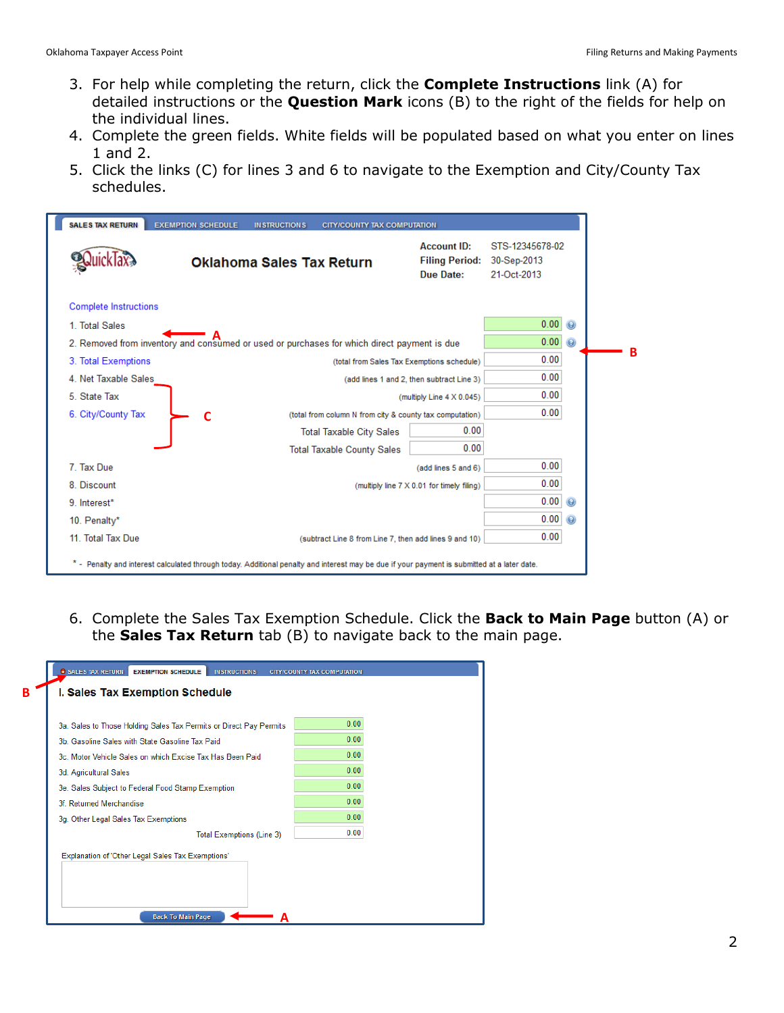**B**

- 3. For help while completing the return, click the **Complete Instructions** link (A) for detailed instructions or the **Question Mark** icons (B) to the right of the fields for help on the individual lines.
- 4. Complete the green fields. White fields will be populated based on what you enter on lines 1 and 2.
- 5. Click the links (C) for lines 3 and 6 to navigate to the Exemption and City/County Tax schedules.

|                              | <b>Oklahoma Sales Tax Return</b>                                                            | <b>Account ID:</b><br><b>Filing Period:</b><br>Due Date: | STS-12345678-02<br>30-Sep-2013<br>21-Oct-2013 |                |
|------------------------------|---------------------------------------------------------------------------------------------|----------------------------------------------------------|-----------------------------------------------|----------------|
| <b>Complete Instructions</b> |                                                                                             |                                                          |                                               |                |
| 1. Total Sales               |                                                                                             |                                                          | 0.00                                          |                |
|                              | 2. Removed from inventory and consumed or used or purchases for which direct payment is due |                                                          | 0.00                                          | $\circledast$  |
| 3. Total Exemptions          |                                                                                             | (total from Sales Tax Exemptions schedule)               | 0.00                                          |                |
| 4. Net Taxable Sales         | (add lines 1 and 2, then subtract Line 3)                                                   | 0.00                                                     |                                               |                |
| 5. State Tax                 |                                                                                             | (multiply Line 4 X 0.045)                                | 0.00                                          |                |
| 6. City/County Tax           | (total from column N from city & county tax computation)                                    |                                                          | 0.00                                          |                |
|                              | <b>Total Taxable City Sales</b>                                                             | 0.00                                                     |                                               |                |
|                              | <b>Total Taxable County Sales</b>                                                           | 0.00                                                     |                                               |                |
| 7. Tax Due                   |                                                                                             | (add lines 5 and 6)                                      | 0.00                                          |                |
| 8. Discount                  |                                                                                             | (multiply line 7 X 0.01 for timely filing)               | 0.00                                          |                |
| 9. Interest*                 |                                                                                             |                                                          | 0.00                                          | $\odot$        |
| 10. Penalty*                 |                                                                                             |                                                          | 0.00                                          | $\circledcirc$ |
| 11. Total Tax Due            | (subtract Line 8 from Line 7, then add lines 9 and 10)                                      |                                                          | 0.00                                          |                |

6. Complete the Sales Tax Exemption Schedule. Click the **Back to Main Page** button (A) or the **Sales Tax Return** tab (B) to navigate back to the main page.

| <b>C</b> SALES TAX RETURN<br><b>EXEMPTION SCHEDULE</b><br><b>IN STRUCTIONS</b> | <b>CITY/COUNTY TAX COMPUTATION</b> |  |  |  |  |  |  |  |
|--------------------------------------------------------------------------------|------------------------------------|--|--|--|--|--|--|--|
| <b>I. Sales Tax Exemption Schedule</b>                                         |                                    |  |  |  |  |  |  |  |
|                                                                                |                                    |  |  |  |  |  |  |  |
| 3a. Sales to Those Holding Sales Tax Permits or Direct Pay Permits             | 0.00                               |  |  |  |  |  |  |  |
| 3b. Gasoline Sales with State Gasoline Tax Paid                                | 0.00                               |  |  |  |  |  |  |  |
| 3c. Motor Vehicle Sales on which Excise Tax Has Been Paid                      | 0.00                               |  |  |  |  |  |  |  |
| 3d. Agricultural Sales                                                         | 0.00                               |  |  |  |  |  |  |  |
| 3e. Sales Subject to Federal Food Stamp Exemption                              | 0.00                               |  |  |  |  |  |  |  |
| 3f Returned Merchandise                                                        | 0.00                               |  |  |  |  |  |  |  |
| 3g. Other Legal Sales Tax Exemptions                                           | 0.00                               |  |  |  |  |  |  |  |
| <b>Total Exemptions (Line 3)</b>                                               | 0.00                               |  |  |  |  |  |  |  |
| Explanation of 'Other Legal Sales Tax Exemptions'                              |                                    |  |  |  |  |  |  |  |
|                                                                                |                                    |  |  |  |  |  |  |  |
|                                                                                |                                    |  |  |  |  |  |  |  |
| <b>Back To Main Page</b>                                                       |                                    |  |  |  |  |  |  |  |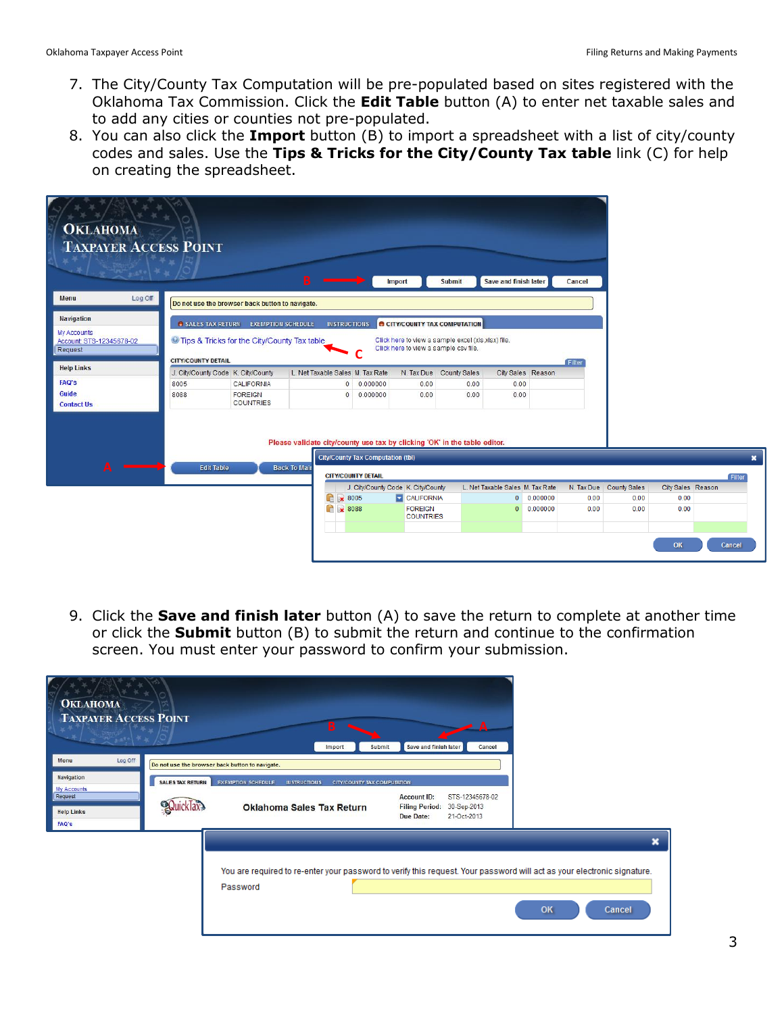- 7. The City/County Tax Computation will be pre-populated based on sites registered with the Oklahoma Tax Commission. Click the **Edit Table** button (A) to enter net taxable sales and to add any cities or counties not pre-populated.
- 8. You can also click the **Import** button (B) to import a spreadsheet with a list of city/county codes and sales. Use the **Tips & Tricks for the City/County Tax table** link (C) for help on creating the spreadsheet.

| <b>OKLAHOMA</b><br><b>TAXPAYER ACCESS POINT</b>                                |                                    |                                                                                    | B.                                                                                               |                                                                       | Import                                | Submit                                                                                     | Save and finish later            |                   | Cancel |                         |                   |                                     |
|--------------------------------------------------------------------------------|------------------------------------|------------------------------------------------------------------------------------|--------------------------------------------------------------------------------------------------|-----------------------------------------------------------------------|---------------------------------------|--------------------------------------------------------------------------------------------|----------------------------------|-------------------|--------|-------------------------|-------------------|-------------------------------------|
| Log Off<br><b>Menu</b>                                                         |                                    | Do not use the browser back button to navigate.                                    |                                                                                                  |                                                                       |                                       |                                                                                            |                                  |                   |        |                         |                   |                                     |
| <b>Navigation</b><br><b>My Accounts</b><br>Account: STS-12345678-02<br>Request | <b>CITY/COUNTY DETAIL</b>          | SALES TAX RETURN EXEMPTION SCHEDULE<br>Tips & Tricks for the City/County Tax table |                                                                                                  | <b>INSTRUCTIONS</b>                                                   | Click here to view a sample csv file. | <b>B CITY/COUNTY TAX COMPUTATION</b><br>Click here to view a sample excel (xls,xlsx) file. |                                  |                   | Filter |                         |                   |                                     |
| <b>Help Links</b>                                                              | J. City/County Code K. City/County |                                                                                    |                                                                                                  | L. Net Taxable Sales M. Tax Rate                                      |                                       | N. Tax Due County Sales                                                                    |                                  | City Sales Reason |        |                         |                   |                                     |
| <b>FAQ's</b>                                                                   | 8005                               | CALIFORNIA                                                                         |                                                                                                  | 0.000000<br>$\mathbf{0}$                                              | 0.00                                  | 0.00                                                                                       | 0.00                             |                   |        |                         |                   |                                     |
| Guide<br><b>Contact Us</b>                                                     | 8088                               | <b>FOREIGN</b><br><b>COUNTRIES</b>                                                 |                                                                                                  | 0.000000<br>$^{\circ}$                                                | 0.00                                  | 0.00                                                                                       | 0.00                             |                   |        |                         |                   |                                     |
| А                                                                              | <b>Edit Table</b>                  |                                                                                    | Please validate city/county use tax by clicking 'OK' in the table editor.<br><b>Back To Mair</b> | <b>City/County Tax Computation (tbl)</b><br><b>CITY/COUNTY DETAIL</b> |                                       |                                                                                            |                                  |                   |        |                         |                   | $\boldsymbol{\mathsf{x}}$<br>Filter |
|                                                                                |                                    |                                                                                    |                                                                                                  |                                                                       | J. City/County Code K. City/County    |                                                                                            | L. Net Taxable Sales M. Tax Rate |                   |        | N. Tax Due County Sales | City Sales Reason |                                     |
|                                                                                |                                    |                                                                                    | G                                                                                                | ₩ 8005                                                                | <b>CALIFORNIA</b>                     |                                                                                            |                                  | 0 0.000000        | 0.00   | 0.00                    | 0.00              |                                     |
|                                                                                |                                    |                                                                                    |                                                                                                  | <b>1</b> × 8088                                                       | <b>FOREIGN</b><br><b>COUNTRIES</b>    |                                                                                            | $\overline{0}$                   | 0.000000          | 0.00   | 0.00                    | 0.00              |                                     |
|                                                                                |                                    |                                                                                    |                                                                                                  |                                                                       |                                       |                                                                                            |                                  |                   |        |                         | OK                | Cancel                              |

9. Click the **Save and finish later** button (A) to save the return to complete at another time or click the **Submit** button (B) to submit the return and continue to the confirmation screen. You must enter your password to confirm your submission.

| <b>OKLAHOMA</b><br><b>TAXPAYER ACCESS POINT</b> |                         | B<br>Submit<br>Import                                                                                                               | А<br>Save and finish later<br>Cancel                                                                             |              |
|-------------------------------------------------|-------------------------|-------------------------------------------------------------------------------------------------------------------------------------|------------------------------------------------------------------------------------------------------------------|--------------|
| Log Off<br>Menu                                 |                         | Do not use the browser back button to navigate.                                                                                     |                                                                                                                  |              |
| <b>Navigation</b><br>My Accounts                | <b>SALES TAX RETURN</b> | <b>EXEMPTION SCHEDULE</b><br><b>IN STRUCTIONS</b><br><b>CITY/COUNTY TAX COMPUTATION</b>                                             |                                                                                                                  |              |
| Request<br><b>Help Links</b><br><b>FAQ's</b>    |                         | <b>Oklahoma Sales Tax Return</b>                                                                                                    | <b>Account ID:</b><br>STS-12345678-02<br><b>Filing Period:</b><br>30-Sep-2013<br><b>Due Date:</b><br>21-Oct-2013 |              |
|                                                 |                         |                                                                                                                                     |                                                                                                                  | ×            |
|                                                 |                         | You are required to re-enter your password to verify this request. Your password will act as your electronic signature.<br>Password |                                                                                                                  | OK<br>Cancel |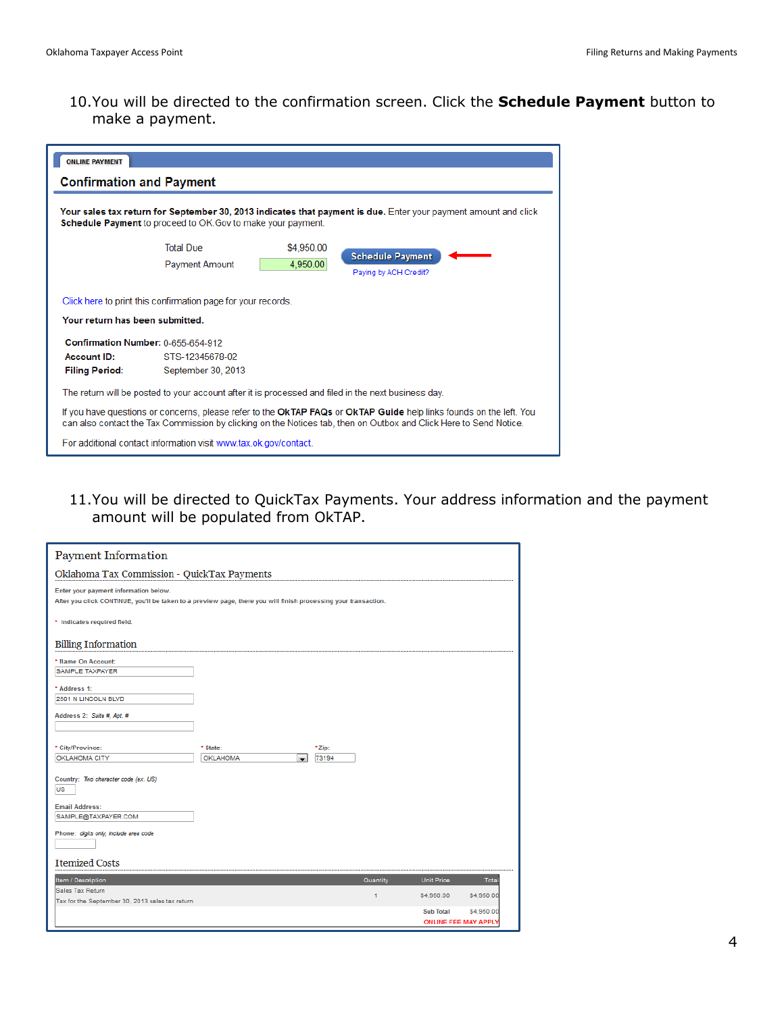10.You will be directed to the confirmation screen. Click the **Schedule Payment** button to make a payment.

| <b>ONLINE PAYMENT</b>                                                             |                                                                                                     |            |                                                                                                                                                                                                                                          |
|-----------------------------------------------------------------------------------|-----------------------------------------------------------------------------------------------------|------------|------------------------------------------------------------------------------------------------------------------------------------------------------------------------------------------------------------------------------------------|
| <b>Confirmation and Payment</b>                                                   |                                                                                                     |            |                                                                                                                                                                                                                                          |
|                                                                                   | Schedule Payment to proceed to OK. Gov to make your payment.                                        |            | Your sales tax return for September 30, 2013 indicates that payment is due. Enter your payment amount and click                                                                                                                          |
|                                                                                   | <b>Total Due</b>                                                                                    | \$4,950.00 |                                                                                                                                                                                                                                          |
|                                                                                   | <b>Payment Amount</b>                                                                               | 4,950.00   | <b>Schedule Payment</b><br>Paying by ACH Credit?                                                                                                                                                                                         |
|                                                                                   | Click here to print this confirmation page for your records.                                        |            |                                                                                                                                                                                                                                          |
| Your return has been submitted.                                                   |                                                                                                     |            |                                                                                                                                                                                                                                          |
| Confirmation Number: 0-655-654-912<br><b>Account ID:</b><br><b>Filing Period:</b> | STS-12345678-02<br>September 30, 2013                                                               |            |                                                                                                                                                                                                                                          |
|                                                                                   | The return will be posted to your account after it is processed and filed in the next business day. |            |                                                                                                                                                                                                                                          |
|                                                                                   |                                                                                                     |            | If you have questions or concerns, please refer to the OkTAP FAQs or OkTAP Guide help links founds on the left. You<br>can also contact the Tax Commission by clicking on the Notices tab, then on Outbox and Click Here to Send Notice. |
|                                                                                   | For additional contact information visit www.tax.ok.gov/contact.                                    |            |                                                                                                                                                                                                                                          |

11.You will be directed to QuickTax Payments. Your address information and the payment amount will be populated from OkTAP.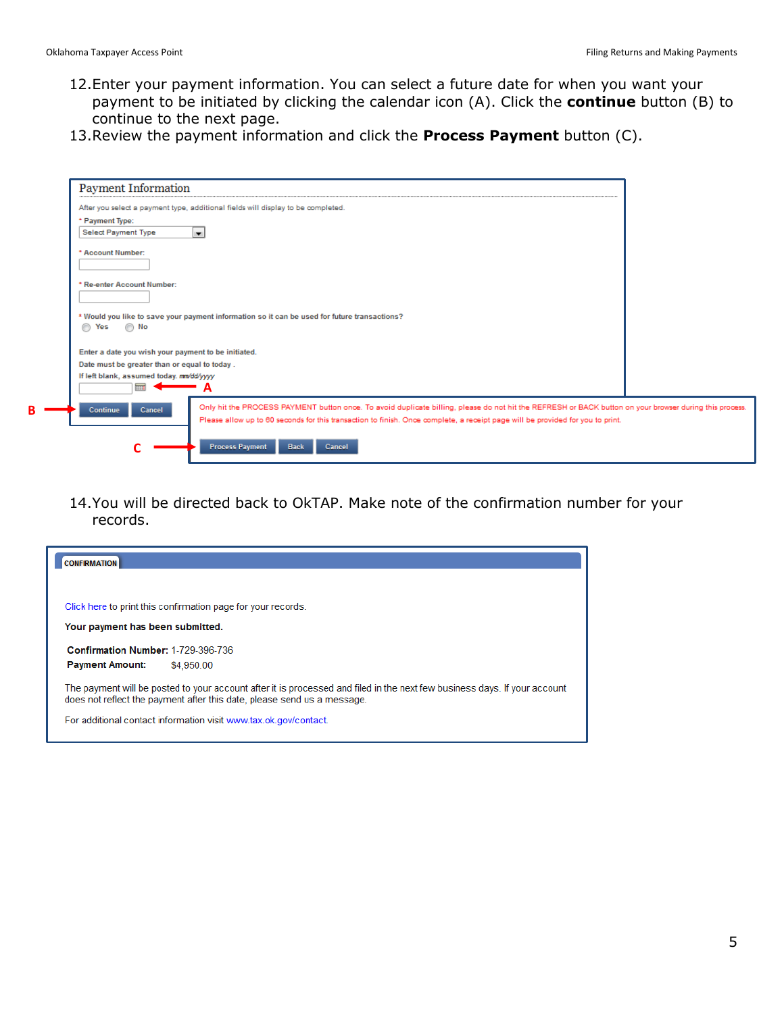- 12.Enter your payment information. You can select a future date for when you want your payment to be initiated by clicking the calendar icon (A). Click the **continue** button (B) to continue to the next page.
- 13.Review the payment information and click the **Process Payment** button (C).

| <b>Payment Information</b>                          |                                                                                                                                                         |  |
|-----------------------------------------------------|---------------------------------------------------------------------------------------------------------------------------------------------------------|--|
|                                                     | After you select a payment type, additional fields will display to be completed.                                                                        |  |
| * Payment Type:                                     |                                                                                                                                                         |  |
| Select Payment Type<br>ы                            |                                                                                                                                                         |  |
| * Account Number:                                   |                                                                                                                                                         |  |
|                                                     |                                                                                                                                                         |  |
|                                                     |                                                                                                                                                         |  |
| * Re-enter Account Number:                          |                                                                                                                                                         |  |
|                                                     |                                                                                                                                                         |  |
|                                                     | * Would you like to save your payment information so it can be used for future transactions?                                                            |  |
| ∩ No<br>⊙<br>Yes                                    |                                                                                                                                                         |  |
|                                                     |                                                                                                                                                         |  |
| Enter a date you wish your payment to be initiated. |                                                                                                                                                         |  |
| Date must be greater than or equal to today.        |                                                                                                                                                         |  |
| If left blank, assumed today. mn/dd/yyyy            |                                                                                                                                                         |  |
|                                                     | А                                                                                                                                                       |  |
| Continue<br>Cancel                                  | Only hit the PROCESS PAYMENT button once. To avoid duplicate billing, please do not hit the REFRESH or BACK button on your browser during this process. |  |
|                                                     | Please allow up to 60 seconds for this transaction to finish. Once complete, a receipt page will be provided for you to print.                          |  |
|                                                     |                                                                                                                                                         |  |
|                                                     | <b>Process Payment</b><br><b>Back</b><br>Cancel                                                                                                         |  |

14.You will be directed back to OkTAP. Make note of the confirmation number for your records.

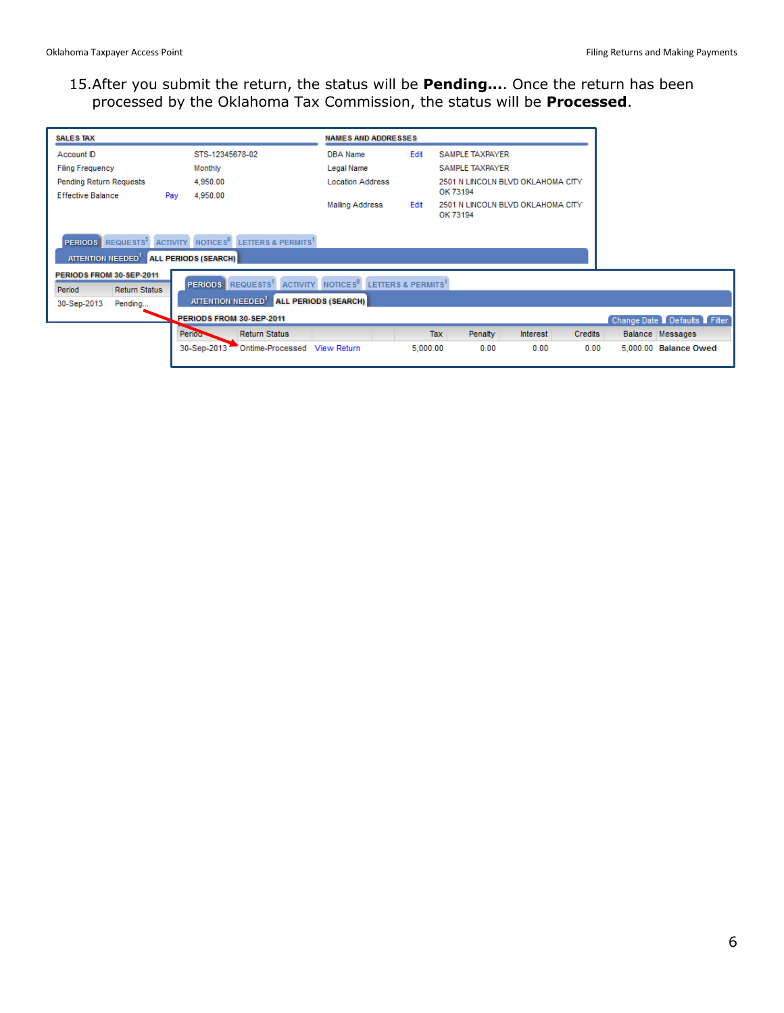## 15.After you submit the return, the status will be **Pending…**. Once the return has been processed by the Oklahoma Tax Commission, the status will be **Processed**.

| <b>SALES TAX</b>                                                                           |     |                               |                                                              | <b>NAMES AND ADDRESSES</b>                                                                  |          |                                   |                                   |         |                                  |
|--------------------------------------------------------------------------------------------|-----|-------------------------------|--------------------------------------------------------------|---------------------------------------------------------------------------------------------|----------|-----------------------------------|-----------------------------------|---------|----------------------------------|
| Account ID                                                                                 |     | STS-12345678-02               |                                                              | DBA Name                                                                                    | Edit     | SAMPLE TAXPAYER                   |                                   |         |                                  |
| <b>Filing Frequency</b>                                                                    |     | Monthly                       |                                                              | Legal Name                                                                                  |          | SAMPLE TAXPAYER                   |                                   |         |                                  |
| Pending Return Requests                                                                    |     | 4,950.00                      |                                                              | <b>Location Address</b>                                                                     |          | OK 73194                          | 2501 N LINCOLN BLVD OKLAHOMA CITY |         |                                  |
| <b>Effective Balance</b>                                                                   | Pay | 4,950.00                      |                                                              | <b>Mailing Address</b><br>Edit<br>OK 73194                                                  |          | 2501 N LINCOLN BLVD OKLAHOMA CITY |                                   |         |                                  |
| <b>PERIODS</b> REQUESTS <sup>3</sup><br>ATTENTION NEEDED <sup>1</sup> ALL PERIODS (SEARCH) |     |                               | ACTIVITY NOTICES <sup>0</sup> LETTERS & PERMITS <sup>1</sup> |                                                                                             |          |                                   |                                   |         |                                  |
| PERIODS FROM 30-SEP-2011<br>Period<br><b>Return Status</b><br>30-Sep-2013<br>Pending       |     | ATTENTION NEEDED <sup>1</sup> | <b>PERIODS</b> REQUESTS <sup>1</sup>                         | ACTIVITY NOTICES <sup>®</sup> LETTERS & PERMITS <sup>1</sup><br><b>ALL PERIODS (SEARCH)</b> |          |                                   |                                   |         |                                  |
|                                                                                            |     |                               | PERIODS FROM 30-SEP-2011                                     |                                                                                             |          |                                   |                                   |         | <b>Change Date Defaults Fill</b> |
|                                                                                            |     | Period <sup>-</sup>           | <b>Return Status</b>                                         |                                                                                             |          | Tax<br>Penalty                    | Interest                          | Credits | Balance Messages                 |
|                                                                                            |     | 30-Sep-2013                   | Ontime-Processed View Return                                 |                                                                                             | 5,000.00 | 0.00                              | 0.00                              | 0.00    | 5,000.00 Balance Owed            |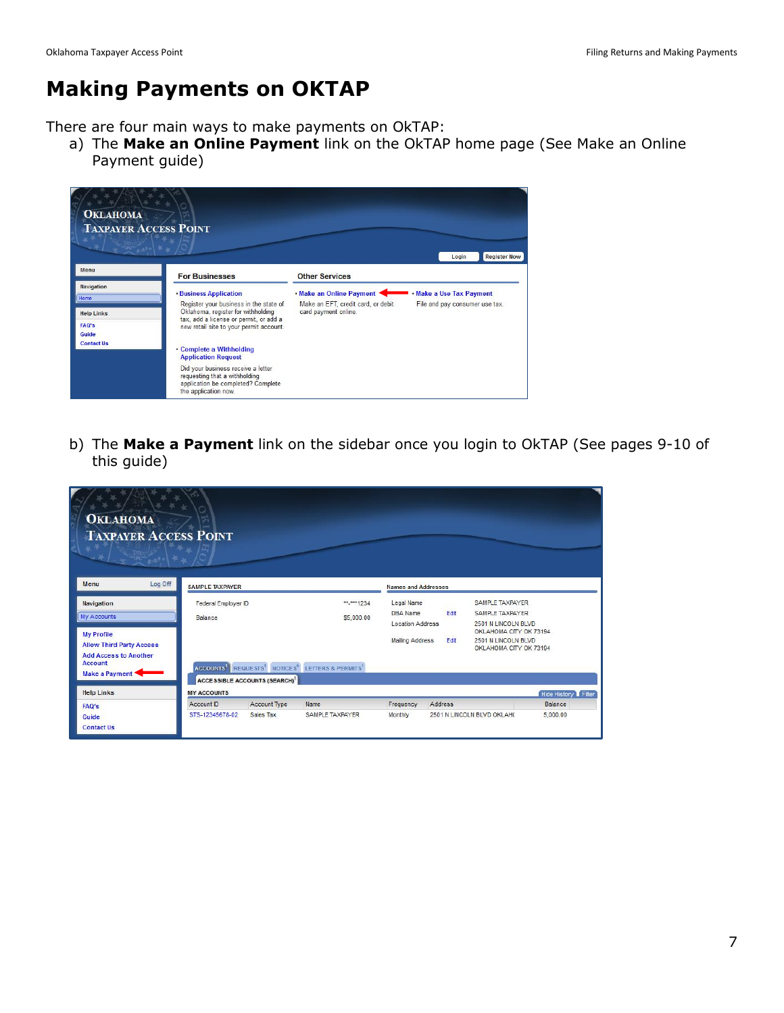## **Making Payments on OKTAP**

There are four main ways to make payments on OkTAP:

a) The **Make an Online Payment** link on the OkTAP home page (See Make an Online Payment guide)



b) The **Make a Payment** link on the sidebar once you login to OkTAP (See pages 9-10 of this guide)

| <b>OKLAHOMA</b><br><b>TAXPAYER ACCESS POINT</b> |                     |                                                 |                                                                                                 |                            |         |                                               |                     |
|-------------------------------------------------|---------------------|-------------------------------------------------|-------------------------------------------------------------------------------------------------|----------------------------|---------|-----------------------------------------------|---------------------|
| Log Off<br>Menu                                 | SAMPLE TAXPAYER     |                                                 |                                                                                                 | <b>Names and Addresses</b> |         |                                               |                     |
| Navigation                                      | Federal Employer ID |                                                 | **_***1234                                                                                      | Legal Name                 |         | SAMPLE TAXPAYER                               |                     |
| My Accounts                                     | Balance             |                                                 | \$5,000.00                                                                                      | DBA Name                   | Edit    | SAMPLE TAXPAYER                               |                     |
|                                                 |                     |                                                 |                                                                                                 | <b>Location Address</b>    |         | 2501 N LINCOLN BLVD                           |                     |
| <b>My Profile</b>                               |                     |                                                 |                                                                                                 | <b>Mailing Address</b>     | Edit    | OKLAHOMA CITY OK 73194<br>2501 N LINCOLN BLVD |                     |
| <b>Allow Third Party Access</b>                 |                     |                                                 |                                                                                                 |                            |         | OKLAHOMA CITY OK 73194                        |                     |
| <b>Add Access to Another</b>                    |                     |                                                 |                                                                                                 |                            |         |                                               |                     |
| <b>Account</b>                                  |                     |                                                 | ACCOUNTS <sup>1</sup> REQUESTS <sup>1</sup> NOTICES <sup>6</sup> LETTERS & PERMITS <sup>1</sup> |                            |         |                                               |                     |
| Make a Payment                                  |                     | <b>ACCESSIBLE ACCOUNTS (SEARCH)<sup>1</sup></b> |                                                                                                 |                            |         |                                               |                     |
| <b>Help Links</b>                               | <b>MY ACCOUNTS</b>  |                                                 |                                                                                                 |                            |         |                                               | Hide History Filter |
| <b>FAQ's</b>                                    | Account ID          | Account Type                                    | Name                                                                                            | Frequency                  | Address |                                               | Balance             |
| Guide                                           | STS-12345678-02     | Sales Tax                                       | <b>SAMPLE TAXPAYER</b>                                                                          | Monthly                    |         | 2501 N LINCOLN BLVD OKLAH(                    | 5,000.00            |
| <b>Contact Us</b>                               |                     |                                                 |                                                                                                 |                            |         |                                               |                     |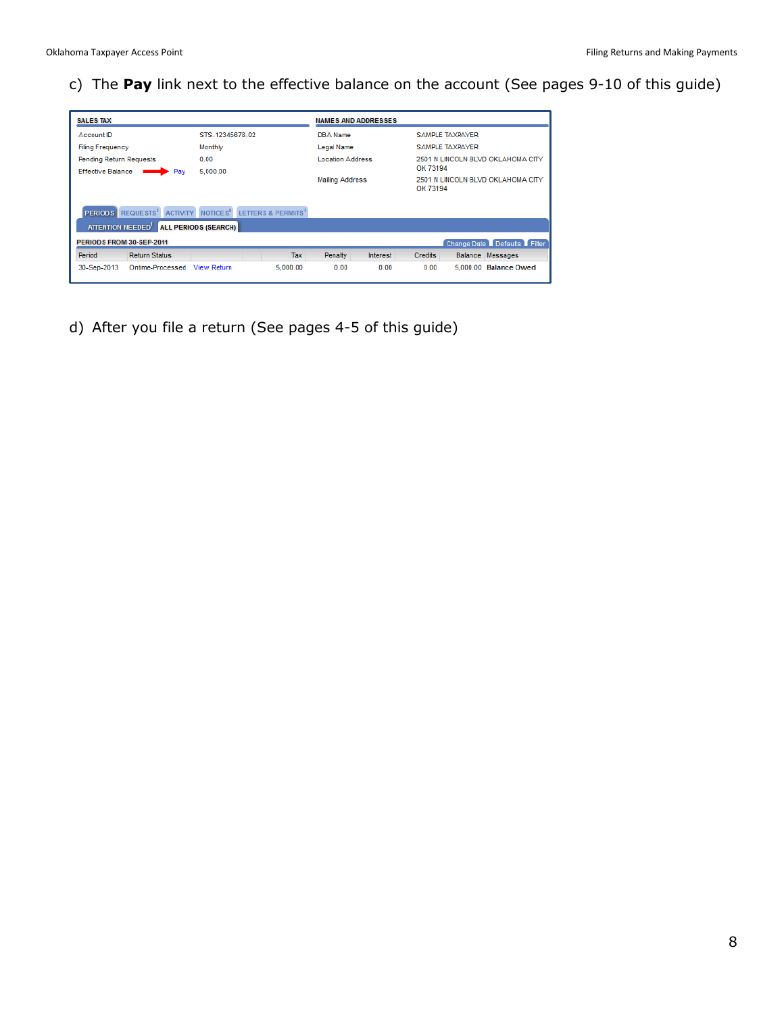c) The **Pay** link next to the effective balance on the account (See pages 9-10 of this guide)

| <b>SALES TAX</b>                                                            |                                                                                             |          | <b>NAMES AND ADDRESSES</b> |                 |                                    |                                   |
|-----------------------------------------------------------------------------|---------------------------------------------------------------------------------------------|----------|----------------------------|-----------------|------------------------------------|-----------------------------------|
| Account ID                                                                  | STS-12345678-02                                                                             |          |                            |                 |                                    | SAMPLE TAXPAYER                   |
| <b>Filing Frequency</b>                                                     | Monthly                                                                                     |          | Legal Name                 |                 |                                    | <b>SAMPLE TAXPAYER</b>            |
| <b>Pending Return Requests</b>                                              | 0.00<br>5.000.00                                                                            |          | Location Address           |                 | OK 73194                           | 2501 N LINCOLN BLVD OKLAHOMA CITY |
| <b>Effective Balance</b><br>$\rightharpoonup$ Pay                           |                                                                                             |          | <b>Mailing Address</b>     |                 | OK 73194                           | 2501 N LINCOLN BLVD OKLAHOMA CITY |
| <b>PERIODS</b> REQUESTS <sup>1</sup><br><b>ATTENTION NEEDED<sup>1</sup></b> | LETTERS & PERMITS<br>NOTICES <sup>0</sup><br><b>ACTIVITY</b><br><b>ALL PERIODS (SEARCH)</b> |          |                            |                 |                                    |                                   |
| PERIODS FROM 30-SEP-2011                                                    |                                                                                             |          |                            |                 | <b>Change Date Defaults Filter</b> |                                   |
| Period<br><b>Return Status</b>                                              |                                                                                             | Tax      | Penalty                    | <b>Interest</b> | <b>Credits</b>                     | Balance Messages                  |
| Ontime-Processed<br>30-Sep-2013                                             | <b>View Return</b>                                                                          | 5,000.00 | 0.00                       | 0.00            | 0.00                               | 5.000.00<br><b>Balance Owed</b>   |

d) After you file a return (See pages 4-5 of this guide)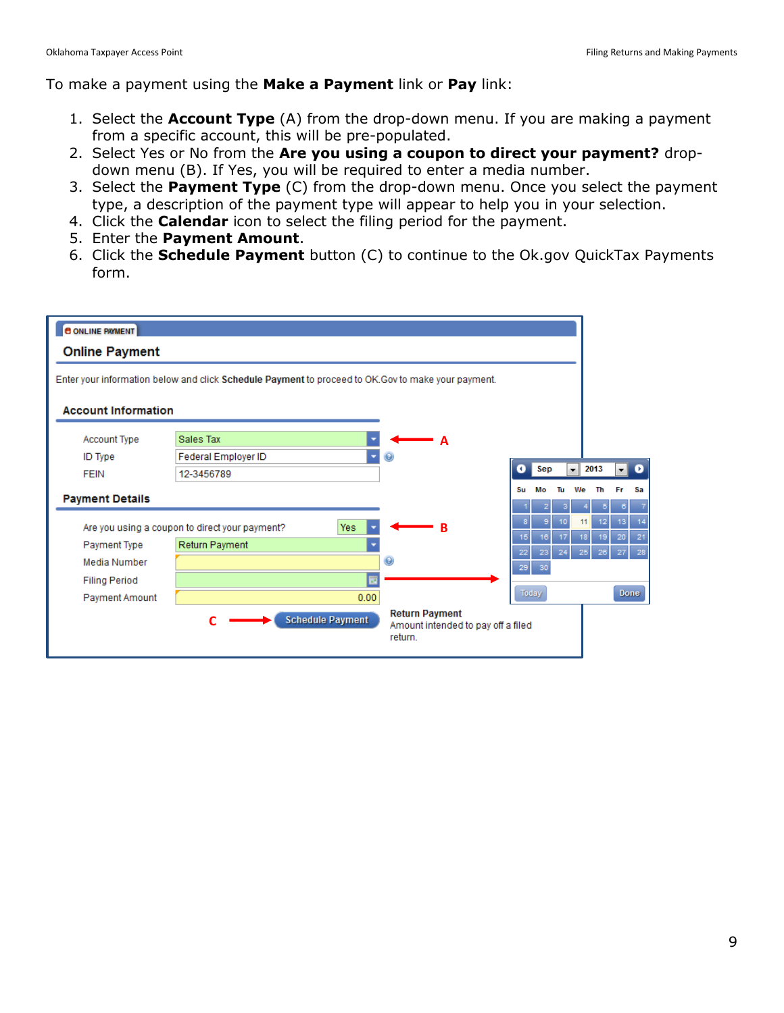To make a payment using the **Make a Payment** link or **Pay** link:

- 1. Select the **Account Type** (A) from the drop-down menu. If you are making a payment from a specific account, this will be pre-populated.
- 2. Select Yes or No from the **Are you using a coupon to direct your payment?** dropdown menu (B). If Yes, you will be required to enter a media number.
- 3. Select the **Payment Type** (C) from the drop-down menu. Once you select the payment type, a description of the payment type will appear to help you in your selection.
- 4. Click the **Calendar** icon to select the filing period for the payment.
- 5. Enter the **Payment Amount**.
- 6. Click the **Schedule Payment** button (C) to continue to the Ok.gov QuickTax Payments form.

| <b>8 ONLINE PAYMENT</b>    |                                                                                                    |                                    |    |       |                 |                          |                 |                 |             |
|----------------------------|----------------------------------------------------------------------------------------------------|------------------------------------|----|-------|-----------------|--------------------------|-----------------|-----------------|-------------|
| <b>Online Payment</b>      |                                                                                                    |                                    |    |       |                 |                          |                 |                 |             |
|                            | Enter your information below and click Schedule Payment to proceed to OK.Gov to make your payment. |                                    |    |       |                 |                          |                 |                 |             |
|                            |                                                                                                    |                                    |    |       |                 |                          |                 |                 |             |
| <b>Account Information</b> |                                                                                                    |                                    |    |       |                 |                          |                 |                 |             |
| <b>Account Type</b>        | Sales Tax                                                                                          | A                                  |    |       |                 |                          |                 |                 |             |
| <b>ID</b> Type             | Federal Employer ID                                                                                |                                    |    |       |                 |                          |                 |                 |             |
| <b>FEIN</b>                | 12-3456789                                                                                         |                                    | о  | Sep   |                 | $\overline{\phantom{a}}$ | 2013            | ۰H              | $\bullet$   |
|                            |                                                                                                    |                                    | Su | Mo    | Tu              | We                       | Th              | Fr              | Sa          |
| <b>Payment Details</b>     |                                                                                                    |                                    |    |       |                 |                          | 5               | 6               |             |
|                            | Are you using a coupon to direct your payment?<br>Yes                                              | R                                  |    |       | 10 <sup>°</sup> | 11                       | 12 <sub>1</sub> | 13 <sub>1</sub> | 14          |
| Payment Type               | Return Payment                                                                                     |                                    | 15 | 16    | 17              | 18                       | 19              | 20              | 21          |
| Media Number               |                                                                                                    | $\boldsymbol{\Theta}$              | 22 | 23    | 24              | 25                       | 26              | 27              | 28          |
| <b>Filing Period</b>       | m                                                                                                  |                                    | 29 | 30    |                 |                          |                 |                 |             |
| Payment Amount             | 0.00                                                                                               |                                    |    | Today |                 |                          |                 |                 | <b>Done</b> |
|                            |                                                                                                    | <b>Return Payment</b>              |    |       |                 |                          |                 |                 |             |
|                            | <b>Schedule Payment</b>                                                                            | Amount intended to pay off a filed |    |       |                 |                          |                 |                 |             |
|                            |                                                                                                    | return.                            |    |       |                 |                          |                 |                 |             |
|                            |                                                                                                    |                                    |    |       |                 |                          |                 |                 |             |